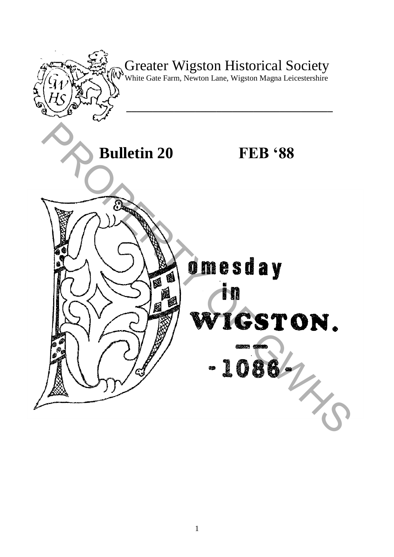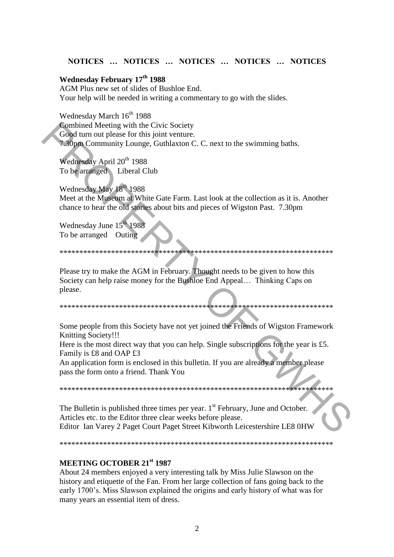#### NOTICES ... NOTICES ... NOTICES ... NOTICES ... NOTICES

#### Wednesday February 17<sup>th</sup> 1988

AGM Plus new set of slides of Bushloe End. Your help will be needed in writing a commentary to go with the slides.

Wednesday March 16<sup>th</sup> 1988 Combined Meeting with the Civic Society Good turn out please for this joint venture. 7.30pm Community Lounge, Guthlaxton C. C. next to the swimming baths.

Wednesday April 20<sup>th</sup> 1988 To be arranged Liberal Club

Wednesday May 18th 1988 Meet at the Museum at White Gate Farm. Last look at the collection as it is. Another chance to hear the old stories about bits and pieces of Wigston Past. 7.30pm

Wednesday June 15<sup>th</sup> 1988 To be arranged Outing

#### 

Please try to make the AGM in February. Thought needs to be given to how this Society can help raise money for the Bushloe End Appeal... Thinking Caps on please.

Some people from this Society have not yet joined the Friends of Wigston Framework Knitting Society!!!

Here is the most direct way that you can help. Single subscriptions for the year is  $£5$ . Family is £8 and OAP £3

An application form is enclosed in this bulletin. If you are already a member please pass the form onto a friend. Thank You

\*\*\*\*\*\*\*\*\*\*\*\*\*\*\*\*\*

The Bulletin is published three times per year. 1<sup>st</sup> February, June and October. Articles etc. to the Editor three clear weeks before please. Editor Ian Varey 2 Paget Court Paget Street Kibworth Leicestershire LE8 0HW

#### MEETING OCTOBER 21st 1987

About 24 members enjoyed a very interesting talk by Miss Julie Slawson on the history and etiquette of the Fan. From her large collection of fans going back to the early 1700's. Miss Slawson explained the origins and early history of what was for many years an essential item of dress.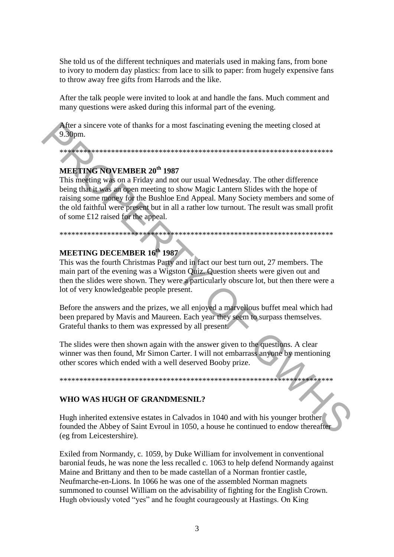She told us of the different techniques and materials used in making fans, from bone to ivory to modern day plastics: from lace to silk to paper: from hugely expensive fans to throw away free gifts from Harrods and the like.

After the talk people were invited to look at and handle the fans. Much comment and many questions were asked during this informal part of the evening.

After a sincere vote of thanks for a most fascinating evening the meeting closed at 9.30pm.

# MEETING NOVEMBER 20<sup>th</sup> 1987

This meeting was on a Friday and not our usual Wednesday. The other difference being that it was an open meeting to show Magic Lantern Slides with the hope of raising some money for the Bushloe End Appeal. Many Society members and some of the old faithful were present but in all a rather low turnout. The result was small profit of some £12 raised for the appeal.

## **MEETING DECEMBER 16th 1987**

This was the fourth Christmas Party and in fact our best turn out, 27 members. The main part of the evening was a Wigston Quiz. Question sheets were given out and then the slides were shown. They were a particularly obscure lot, but then there were a lot of very knowledgeable people present.

Before the answers and the prizes, we all enjoyed a marvellous buffet meal which had been prepared by Mavis and Maureen. Each year they seem to surpass themselves. Grateful thanks to them was expressed by all present.

The slides were then shown again with the answer given to the questions. A clear winner was then found, Mr Simon Carter. I will not embarrass anyone by mentioning other scores which ended with a well deserved Booby prize.

#### WHO WAS HUGH OF GRANDMESNIL?

Hugh inherited extensive estates in Calvados in 1040 and with his younger brother founded the Abbey of Saint Evroul in 1050, a house he continued to endow thereafter (eg from Leicestershire).

Exiled from Normandy, c. 1059, by Duke William for involvement in conventional baronial feuds, he was none the less recalled c. 1063 to help defend Normandy against Maine and Brittany and then to be made castellan of a Norman frontier castle, Neufmarche-en-Lions. In 1066 he was one of the assembled Norman magnets summoned to counsel William on the advisability of fighting for the English Crown. Hugh obviously voted "yes" and he fought courageously at Hastings. On King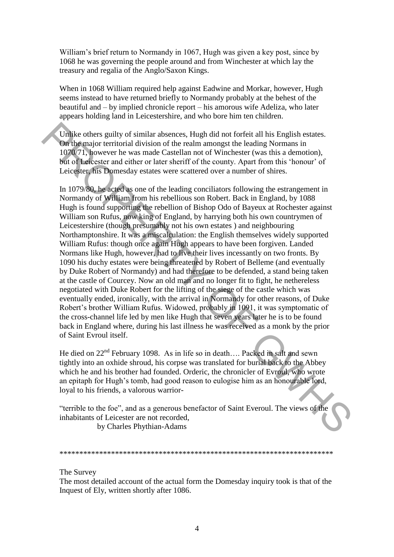William's brief return to Normandy in 1067, Hugh was given a key post, since by 1068 he was governing the people around and from Winchester at which lay the treasury and regalia of the Anglo/Saxon Kings.

When in 1068 William required help against Eadwine and Morkar, however, Hugh seems instead to have returned briefly to Normandy probably at the behest of the beautiful and – by implied chronicle report – his amorous wife Adeliza, who later appears holding land in Leicestershire, and who bore him ten children.

Unlike others guilty of similar absences, Hugh did not forfeit all his English estates. On the major territorial division of the realm amongst the leading Normans in 1070/71, however he was made Castellan not of Winchester (was this a demotion), but of Leicester and either or later sheriff of the county. Apart from this "honour" of Leicester, his Domesday estates were scattered over a number of shires.

In 1079/80, he acted as one of the leading conciliators following the estrangement in Normandy of William from his rebellious son Robert. Back in England, by 1088 Hugh is found supporting the rebellion of Bishop Odo of Bayeux at Rochester against William son Rufus, now king of England, by harrying both his own countrymen of Leicestershire (though presumably not his own estates ) and neighbouring Northamptonshire. It was a miscalculation: the English themselves widely supported William Rufus: though once again Hugh appears to have been forgiven. Landed Normans like Hugh, however, had to live their lives incessantly on two fronts. By 1090 his duchy estates were being threatened by Robert of Belleme (and eventually by Duke Robert of Normandy) and had therefore to be defended, a stand being taken at the castle of Courcey. Now an old man and no longer fit to fight, he nethereless negotiated with Duke Robert for the lifting of the siege of the castle which was eventually ended, ironically, with the arrival in Normandy for other reasons, of Duke Robert"s brother William Rufus. Widowed, probably in 1091, it was symptomatic of the cross-channel life led by men like Hugh that seven years later he is to be found back in England where, during his last illness he was received as a monk by the prior of Saint Evroul itself. Unike others guilty of similar absences. Hugh did not forfeit all his English estates.<br> **On the m**aior territorial division of the realm amongs the leading Normans in<br>
1070/71. however he was made Castellan not of Winches

He died on  $22<sup>nd</sup>$  February 1098. As in life so in death.... Packed in salt and sewn tightly into an oxhide shroud, his corpse was translated for burial back to the Abbey which he and his brother had founded. Orderic, the chronicler of Evroul, who wrote an epitaph for Hugh"s tomb, had good reason to eulogise him as an honourable lord, loyal to his friends, a valorous warrior-

"terrible to the foe", and as a generous benefactor of Saint Everoul. The views of the inhabitants of Leicester are not recorded,

by Charles Phythian-Adams

\*\*\*\*\*\*\*\*\*\*\*\*\*\*\*\*\*\*\*\*\*\*\*\*\*\*\*\*\*\*\*\*\*\*\*\*\*\*\*\*\*\*\*\*\*\*\*\*\*\*\*\*\*\*\*\*\*\*\*\*\*\*\*\*\*\*\*\*\*

The Survey

The most detailed account of the actual form the Domesday inquiry took is that of the Inquest of Ely, written shortly after 1086.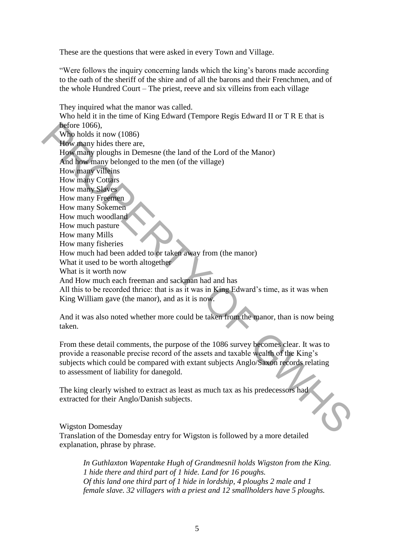These are the questions that were asked in every Town and Village.

"Were follows the inquiry concerning lands which the king"s barons made according to the oath of the sheriff of the shire and of all the barons and their Frenchmen, and of the whole Hundred Court – The priest, reeve and six villeins from each village

They inquired what the manor was called. Who held it in the time of King Edward (Tempore Regis Edward II or T R E that is before 1066), Who holds it now (1086) How many hides there are, How many ploughs in Demesne (the land of the Lord of the Manor) And how many belonged to the men (of the village) How many villeins How many Cottars How many Slaves How many Freemen How many Sokemen How much woodland How much pasture How many Mills How many fisheries How much had been added to or taken away from (the manor) What it used to be worth altogether What is it worth now And How much each freeman and sackman had and has All this to be recorded thrice: that is as it was in King Edward"s time, as it was when King William gave (the manor), and as it is now. Metrie 1066).<br>
Why many hides there are,<br>
Why many hides there are,<br>
How many belongth to the men (of the village)<br>
How many belongth to the men (of the village)<br>
How many Schemen<br>
How many Scheme<br>
How many Scheme<br>
How man

And it was also noted whether more could be taken from the manor, than is now being taken.

From these detail comments, the purpose of the 1086 survey becomes clear. It was to provide a reasonable precise record of the assets and taxable wealth of the King"s subjects which could be compared with extant subjects Anglo/Saxon records relating to assessment of liability for danegold.

The king clearly wished to extract as least as much tax as his predecessors had extracted for their Anglo/Danish subjects.

Wigston Domesday

Translation of the Domesday entry for Wigston is followed by a more detailed explanation, phrase by phrase.

*In Guthlaxton Wapentake Hugh of Grandmesnil holds Wigston from the King. 1 hide there and third part of 1 hide. Land for 16 poughs. Of this land one third part of 1 hide in lordship, 4 ploughs 2 male and 1 female slave. 32 villagers with a priest and 12 smallholders have 5 ploughs.*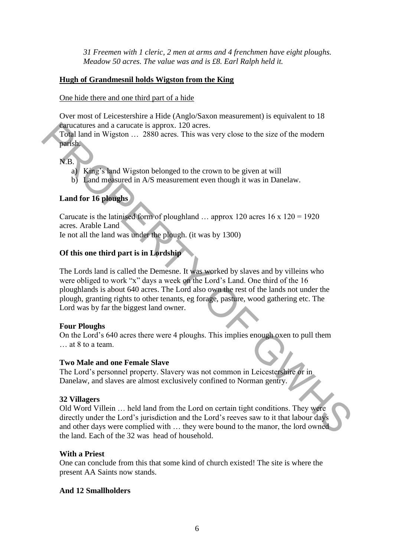*31 Freemen with 1 cleric, 2 men at arms and 4 frenchmen have eight ploughs. Meadow 50 acres. The value was and is £8. Earl Ralph held it.* 

#### **Hugh of Grandmesnil holds Wigston from the King**

One hide there and one third part of a hide

Over most of Leicestershire a Hide (Anglo/Saxon measurement) is equivalent to 18 carucatures and a carucate is approx. 120 acres.

Total land in Wigston … 2880 acres. This was very close to the size of the modern parish.

N.B.

- a) King"s land Wigston belonged to the crown to be given at will
- b) Land measured in A/S measurement even though it was in Danelaw.

#### **Land for 16 ploughs**

Carucate is the latinised form of ploughland ... approx 120 acres 16 x 120 = 1920 acres. Arable Land

Ie not all the land was under the plough. (it was by 1300)

## **Of this one third part is in Lordship**

The Lords land is called the Demesne. It was worked by slaves and by villeins who were obliged to work "x" days a week on the Lord"s Land. One third of the 16 ploughlands is about 640 acres. The Lord also own the rest of the lands not under the plough, granting rights to other tenants, eg forage, pasture, wood gathering etc. The Lord was by far the biggest land owner. **Example 10** and a carucate is approx. 120 acress.<br>
Total land in Wigiston ... 2880 acres. This was very close to the size of the modern<br>
parts)<br>
(a) Kang's land Wigiston belonged to the crown to be given at will<br>
b) Land

#### **Four Ploughs**

On the Lord"s 640 acres there were 4 ploughs. This implies enough oxen to pull them … at 8 to a team.

#### **Two Male and one Female Slave**

The Lord"s personnel property. Slavery was not common in Leicestershire or in Danelaw, and slaves are almost exclusively confined to Norman gentry.

#### **32 Villagers**

Old Word Villein … held land from the Lord on certain tight conditions. They were directly under the Lord"s jurisdiction and the Lord"s reeves saw to it that labour days and other days were complied with … they were bound to the manor, the lord owned the land. Each of the 32 was head of household.

#### **With a Priest**

One can conclude from this that some kind of church existed! The site is where the present AA Saints now stands.

#### **And 12 Smallholders**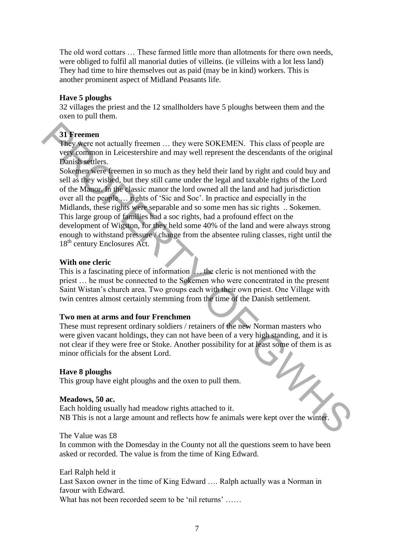The old word cottars … These farmed little more than allotments for there own needs, were obliged to fulfil all manorial duties of villeins. (ie villeins with a lot less land) They had time to hire themselves out as paid (may be in kind) workers. This is another prominent aspect of Midland Peasants life.

#### **Have 5 ploughs**

32 villages the priest and the 12 smallholders have 5 ploughs between them and the oxen to pull them.

# **31 Freemen**

They were not actually freemen … they were SOKEMEN. This class of people are very common in Leicestershire and may well represent the descendants of the original Danish settlers.

Sokemen were freemen in so much as they held their land by right and could buy and sell as they wished, but they still came under the legal and taxable rights of the Lord of the Manor. In the classic manor the lord owned all the land and had jurisdiction over all the people … rights of "Sic and Soc". In practice and especially in the Midlands, these rights were separable and so some men has sic rights .. Sokemen. This large group of families had a soc rights, had a profound effect on the development of Wigston, for they held some 40% of the land and were always strong enough to withstand pressure / change from the absentee ruling classes, right until the 18<sup>th</sup> century Enclosures Act. **31 Freemen**<br>
They were not actually freemen ... they were SOKEMEN. This class of people are<br>
very compone in Leieestershire and may well represent the descendants of the original<br>
Bouise settles:<br>
Sokenency were treemen

#### **With one cleric**

This is a fascinating piece of information … the cleric is not mentioned with the priest … he must be connected to the Sokemen who were concentrated in the present Saint Wistan"s church area. Two groups each with their own priest. One Village with twin centres almost certainly stemming from the time of the Danish settlement.

#### **Two men at arms and four Frenchmen**

These must represent ordinary soldiers / retainers of the new Norman masters who were given vacant holdings, they can not have been of a very high standing, and it is not clear if they were free or Stoke. Another possibility for at least some of them is as minor officials for the absent Lord.

#### **Have 8 ploughs**

This group have eight ploughs and the oxen to pull them.

#### **Meadows, 50 ac.**

Each holding usually had meadow rights attached to it. NB This is not a large amount and reflects how fe animals were kept over the winter.

The Value was £8 In common with the Domesday in the County not all the questions seem to have been asked or recorded. The value is from the time of King Edward.

Earl Ralph held it Last Saxon owner in the time of King Edward …. Ralph actually was a Norman in favour with Edward. What has not been recorded seem to be 'nil returns' ……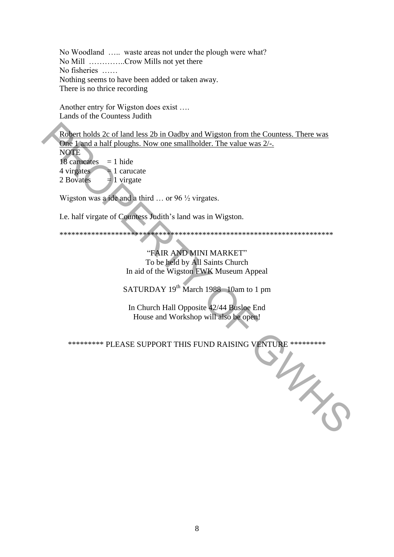No Woodland ..... waste areas not under the plough were what? No Mill ............Crow Mills not yet there No fisheries ...... Nothing seems to have been added or taken away. There is no thrice recording

Another entry for Wigston does exist .... Lands of the Countess Judith

Robert holds 2c of land less 2b in Oadby and Wigston from the Countess. There was One 1 and a half ploughs. Now one smallholder. The value was 2/-. **NOTE** 18 carucates  $= 1$  hide 4 virgates  $=$  1 carucate

2 Boyates  $=$  1 virgate

Wigston was a ide and a third ... or 96  $\frac{1}{2}$  virgates.

I.e. half virgate of Countess Judith's land was in Wigston.

## "FAIR AND MINI MARKET" To be held by All Saints Church In aid of the Wigston FWK Museum Appeal

SATURDAY 19<sup>th</sup> March 1988 10am to 1 pm

In Church Hall Opposite 42/44 Busloe End House and Workshop will also be open!

\*\*\*\*\*\*\*\*\* PLEASE SUPPORT THIS FUND RAISING VENTURE \*\*\*\*\*\*\*\*\* MARIO